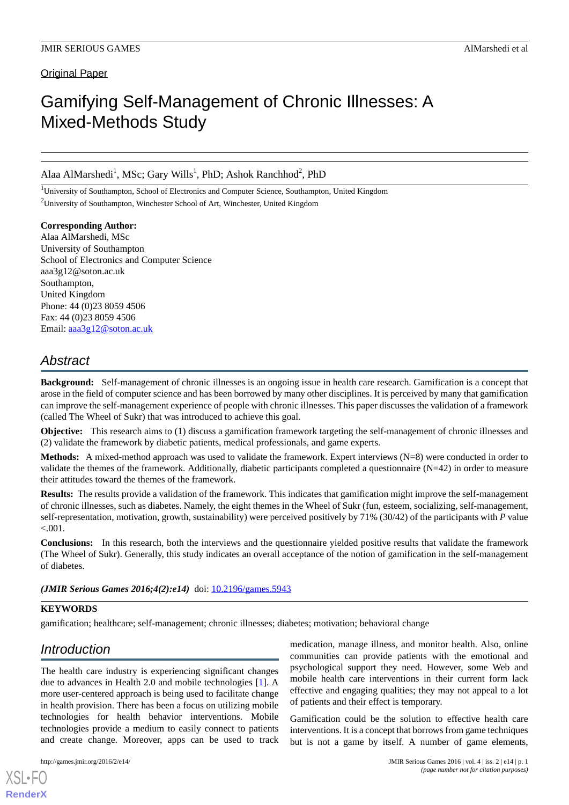Original Paper

# Gamifying Self-Management of Chronic Illnesses: A Mixed-Methods Study

Alaa AlMarshedi<sup>1</sup>, MSc; Gary Wills<sup>1</sup>, PhD; Ashok Ranchhod<sup>2</sup>, PhD

<sup>1</sup>University of Southampton, School of Electronics and Computer Science, Southampton, United Kingdom <sup>2</sup>University of Southampton, Winchester School of Art, Winchester, United Kingdom

**Corresponding Author:** Alaa AlMarshedi, MSc University of Southampton School of Electronics and Computer Science aaa3g12@soton.ac.uk Southampton, United Kingdom Phone: 44 (0)23 8059 4506 Fax: 44 (0)23 8059 4506 Email: [aaa3g12@soton.ac.uk](mailto:aaa3g12@soton.ac.uk)

# *Abstract*

**Background:** Self-management of chronic illnesses is an ongoing issue in health care research. Gamification is a concept that arose in the field of computer science and has been borrowed by many other disciplines. It is perceived by many that gamification can improve the self-management experience of people with chronic illnesses. This paper discusses the validation of a framework (called The Wheel of Sukr) that was introduced to achieve this goal.

**Objective:** This research aims to (1) discuss a gamification framework targeting the self-management of chronic illnesses and (2) validate the framework by diabetic patients, medical professionals, and game experts.

**Methods:** A mixed-method approach was used to validate the framework. Expert interviews (N=8) were conducted in order to validate the themes of the framework. Additionally, diabetic participants completed a questionnaire  $(N=42)$  in order to measure their attitudes toward the themes of the framework.

**Results:** The results provide a validation of the framework. This indicates that gamification might improve the self-management of chronic illnesses, such as diabetes. Namely, the eight themes in the Wheel of Sukr (fun, esteem, socializing, self-management, self-representation, motivation, growth, sustainability) were perceived positively by 71% (30/42) of the participants with *P* value  $< .001.$ 

**Conclusions:** In this research, both the interviews and the questionnaire yielded positive results that validate the framework (The Wheel of Sukr). Generally, this study indicates an overall acceptance of the notion of gamification in the self-management of diabetes.

(JMIR Serious Games 2016;4(2):e14) doi: [10.2196/games.5943](http://dx.doi.org/10.2196/games.5943)

# **KEYWORDS**

gamification; healthcare; self-management; chronic illnesses; diabetes; motivation; behavioral change

# *Introduction*

The health care industry is experiencing significant changes due to advances in Health 2.0 and mobile technologies [[1\]](#page-8-0). A more user-centered approach is being used to facilitate change in health provision. There has been a focus on utilizing mobile technologies for health behavior interventions. Mobile technologies provide a medium to easily connect to patients and create change. Moreover, apps can be used to track

[XSL](http://www.w3.org/Style/XSL)•FO **[RenderX](http://www.renderx.com/)**

medication, manage illness, and monitor health. Also, online communities can provide patients with the emotional and psychological support they need. However, some Web and mobile health care interventions in their current form lack effective and engaging qualities; they may not appeal to a lot of patients and their effect is temporary.

Gamification could be the solution to effective health care interventions. It is a concept that borrows from game techniques but is not a game by itself. A number of game elements,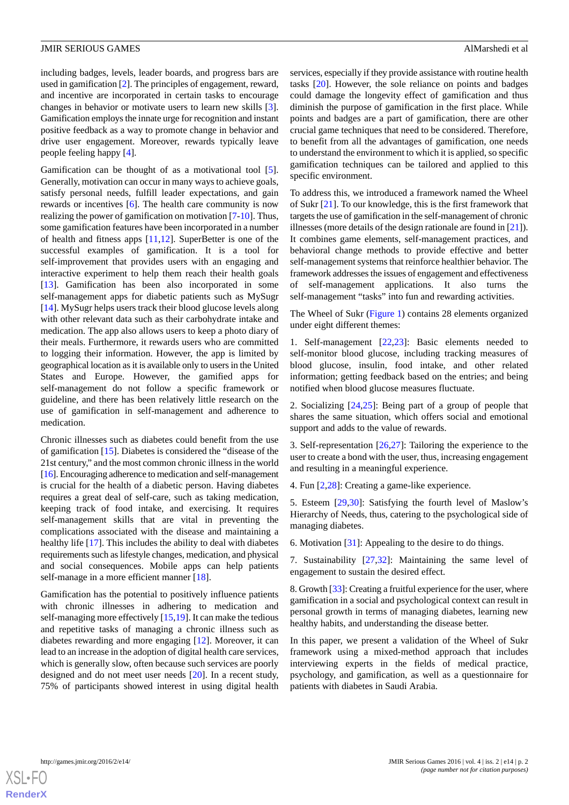including badges, levels, leader boards, and progress bars are used in gamification [[2\]](#page-8-1). The principles of engagement, reward, and incentive are incorporated in certain tasks to encourage changes in behavior or motivate users to learn new skills [[3\]](#page-8-2). Gamification employs the innate urge for recognition and instant positive feedback as a way to promote change in behavior and drive user engagement. Moreover, rewards typically leave people feeling happy [\[4](#page-8-3)].

Gamification can be thought of as a motivational tool [[5\]](#page-8-4). Generally, motivation can occur in many ways to achieve goals, satisfy personal needs, fulfill leader expectations, and gain rewards or incentives [\[6](#page-8-5)]. The health care community is now realizing the power of gamification on motivation [\[7](#page-8-6)[-10](#page-8-7)]. Thus, some gamification features have been incorporated in a number of health and fitness apps  $[11,12]$  $[11,12]$  $[11,12]$  $[11,12]$ . SuperBetter is one of the successful examples of gamification. It is a tool for self-improvement that provides users with an engaging and interactive experiment to help them reach their health goals [[13\]](#page-8-10). Gamification has been also incorporated in some self-management apps for diabetic patients such as MySugr [[14\]](#page-8-11). MySugr helps users track their blood glucose levels along with other relevant data such as their carbohydrate intake and medication. The app also allows users to keep a photo diary of their meals. Furthermore, it rewards users who are committed to logging their information. However, the app is limited by geographical location as it is available only to users in the United States and Europe. However, the gamified apps for self-management do not follow a specific framework or guideline, and there has been relatively little research on the use of gamification in self-management and adherence to medication.

Chronic illnesses such as diabetes could benefit from the use of gamification [[15\]](#page-8-12). Diabetes is considered the "disease of the 21st century," and the most common chronic illness in the world [[16](#page-8-13)]. Encouraging adherence to medication and self-management is crucial for the health of a diabetic person. Having diabetes requires a great deal of self-care, such as taking medication, keeping track of food intake, and exercising. It requires self-management skills that are vital in preventing the complications associated with the disease and maintaining a healthy life [\[17](#page-8-14)]. This includes the ability to deal with diabetes requirements such as lifestyle changes, medication, and physical and social consequences. Mobile apps can help patients self-manage in a more efficient manner [\[18](#page-8-15)].

Gamification has the potential to positively influence patients with chronic illnesses in adhering to medication and self-managing more effectively [\[15](#page-8-12),[19\]](#page-9-0). It can make the tedious and repetitive tasks of managing a chronic illness such as diabetes rewarding and more engaging [[12\]](#page-8-9). Moreover, it can lead to an increase in the adoption of digital health care services, which is generally slow, often because such services are poorly designed and do not meet user needs [\[20](#page-9-1)]. In a recent study, 75% of participants showed interest in using digital health

services, especially if they provide assistance with routine health tasks [[20\]](#page-9-1). However, the sole reliance on points and badges could damage the longevity effect of gamification and thus diminish the purpose of gamification in the first place. While points and badges are a part of gamification, there are other crucial game techniques that need to be considered. Therefore, to benefit from all the advantages of gamification, one needs to understand the environment to which it is applied, so specific gamification techniques can be tailored and applied to this specific environment.

To address this, we introduced a framework named the Wheel of Sukr [[21\]](#page-9-2). To our knowledge, this is the first framework that targets the use of gamification in the self-management of chronic illnesses (more details of the design rationale are found in [[21\]](#page-9-2)). It combines game elements, self-management practices, and behavioral change methods to provide effective and better self-management systems that reinforce healthier behavior. The framework addresses the issues of engagement and effectiveness of self-management applications. It also turns the self-management "tasks" into fun and rewarding activities.

The Wheel of Sukr ([Figure 1](#page-2-0)) contains 28 elements organized under eight different themes:

1. Self-management [\[22](#page-9-3),[23\]](#page-9-4): Basic elements needed to self-monitor blood glucose, including tracking measures of blood glucose, insulin, food intake, and other related information; getting feedback based on the entries; and being notified when blood glucose measures fluctuate.

2. Socializing [\[24](#page-9-5),[25\]](#page-9-6): Being part of a group of people that shares the same situation, which offers social and emotional support and adds to the value of rewards.

3. Self-representation [[26](#page-9-7)[,27](#page-9-8)]: Tailoring the experience to the user to create a bond with the user, thus, increasing engagement and resulting in a meaningful experience.

4. Fun [\[2](#page-8-1)[,28](#page-9-9)]: Creating a game-like experience.

5. Esteem [\[29](#page-9-10),[30\]](#page-9-11): Satisfying the fourth level of Maslow's Hierarchy of Needs, thus, catering to the psychological side of managing diabetes.

6. Motivation [\[31](#page-9-12)]: Appealing to the desire to do things.

7. Sustainability [\[27](#page-9-8)[,32](#page-9-13)]: Maintaining the same level of engagement to sustain the desired effect.

8. Growth [[33\]](#page-9-14): Creating a fruitful experience for the user, where gamification in a social and psychological context can result in personal growth in terms of managing diabetes, learning new healthy habits, and understanding the disease better.

In this paper, we present a validation of the Wheel of Sukr framework using a mixed-method approach that includes interviewing experts in the fields of medical practice, psychology, and gamification, as well as a questionnaire for patients with diabetes in Saudi Arabia.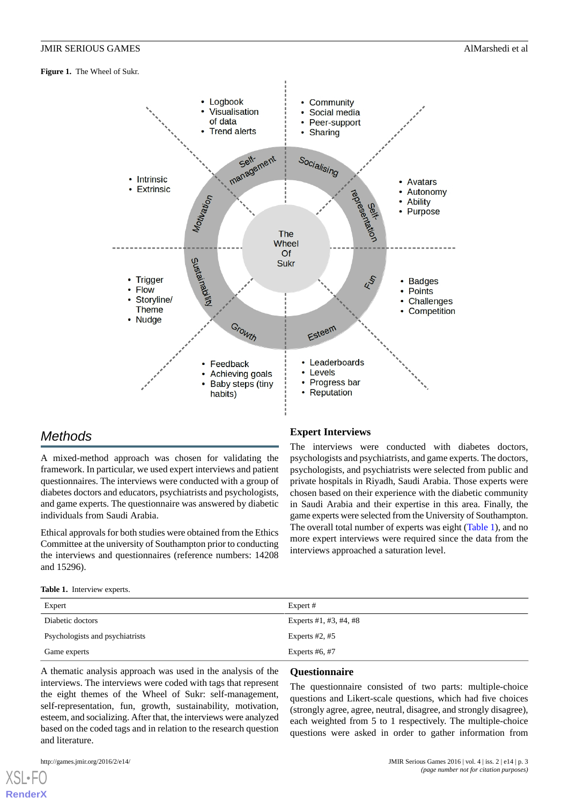<span id="page-2-0"></span>**Figure 1.** The Wheel of Sukr.



# *Methods*

A mixed-method approach was chosen for validating the framework. In particular, we used expert interviews and patient questionnaires. The interviews were conducted with a group of diabetes doctors and educators, psychiatrists and psychologists, and game experts. The questionnaire was answered by diabetic individuals from Saudi Arabia.

<span id="page-2-1"></span>Ethical approvals for both studies were obtained from the Ethics Committee at the university of Southampton prior to conducting the interviews and questionnaires (reference numbers: 14208 and 15296).

# **Expert Interviews**

The interviews were conducted with diabetes doctors, psychologists and psychiatrists, and game experts. The doctors, psychologists, and psychiatrists were selected from public and private hospitals in Riyadh, Saudi Arabia. Those experts were chosen based on their experience with the diabetic community in Saudi Arabia and their expertise in this area. Finally, the game experts were selected from the University of Southampton. The overall total number of experts was eight ([Table 1](#page-2-1)), and no more expert interviews were required since the data from the interviews approached a saturation level.

| Table 1. Interview experts. |  |
|-----------------------------|--|
|                             |  |

| Expert                          | Expert #                 |
|---------------------------------|--------------------------|
| Diabetic doctors                | Experts $#1, #3, #4, #8$ |
| Psychologists and psychiatrists | Experts $#2, #5$         |
| Game experts                    | Experts $#6, #7$         |

A thematic analysis approach was used in the analysis of the interviews. The interviews were coded with tags that represent the eight themes of the Wheel of Sukr: self-management, self-representation, fun, growth, sustainability, motivation, esteem, and socializing. After that, the interviews were analyzed based on the coded tags and in relation to the research question and literature.

#### **Questionnaire**

The questionnaire consisted of two parts: multiple-choice questions and Likert-scale questions, which had five choices (strongly agree, agree, neutral, disagree, and strongly disagree), each weighted from 5 to 1 respectively. The multiple-choice questions were asked in order to gather information from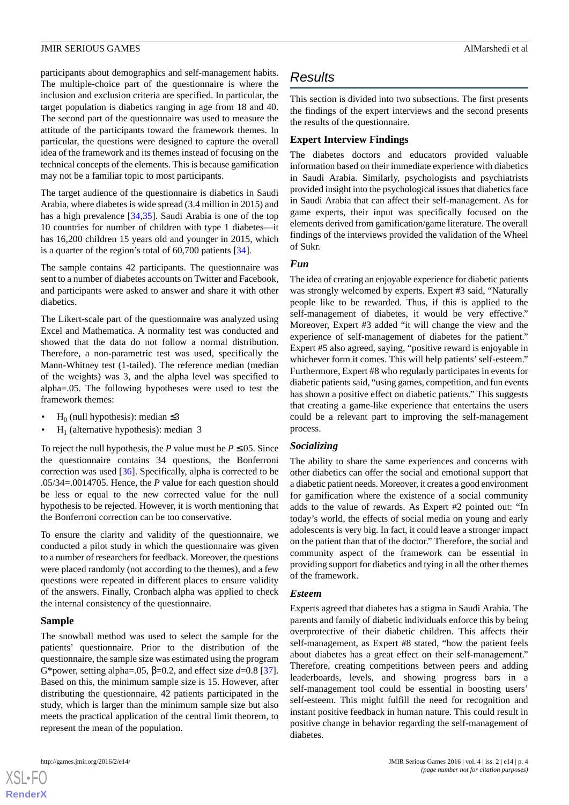participants about demographics and self-management habits. The multiple-choice part of the questionnaire is where the inclusion and exclusion criteria are specified. In particular, the target population is diabetics ranging in age from 18 and 40. The second part of the questionnaire was used to measure the attitude of the participants toward the framework themes. In particular, the questions were designed to capture the overall idea of the framework and its themes instead of focusing on the technical concepts of the elements. This is because gamification may not be a familiar topic to most participants.

The target audience of the questionnaire is diabetics in Saudi Arabia, where diabetes is wide spread (3.4 million in 2015) and has a high prevalence [[34](#page-9-15)[,35](#page-9-16)]. Saudi Arabia is one of the top 10 countries for number of children with type 1 diabetes—it has 16,200 children 15 years old and younger in 2015, which is a quarter of the region's total of 60,700 patients [[34\]](#page-9-15).

The sample contains 42 participants. The questionnaire was sent to a number of diabetes accounts on Twitter and Facebook, and participants were asked to answer and share it with other diabetics.

The Likert-scale part of the questionnaire was analyzed using Excel and Mathematica. A normality test was conducted and showed that the data do not follow a normal distribution. Therefore, a non-parametric test was used, specifically the Mann-Whitney test (1-tailed). The reference median (median of the weights) was 3, and the alpha level was specified to alpha=.05. The following hypotheses were used to test the framework themes:

- H<sub>0</sub> (null hypothesis): median  $\leq 3$
- $H_1$  (alternative hypothesis): median 3

To reject the null hypothesis, the *P* value must be  $P \le 0.05$ . Since the questionnaire contains 34 questions, the Bonferroni correction was used [[36\]](#page-9-17). Specifically, alpha is corrected to be .05/34=.0014705. Hence, the *P* value for each question should be less or equal to the new corrected value for the null hypothesis to be rejected. However, it is worth mentioning that the Bonferroni correction can be too conservative.

To ensure the clarity and validity of the questionnaire, we conducted a pilot study in which the questionnaire was given to a number of researchers for feedback. Moreover, the questions were placed randomly (not according to the themes), and a few questions were repeated in different places to ensure validity of the answers. Finally, Cronbach alpha was applied to check the internal consistency of the questionnaire.

# **Sample**

The snowball method was used to select the sample for the patients' questionnaire. Prior to the distribution of the questionnaire, the sample size was estimated using the program G\*power, setting alpha=.05,  $\beta$ =0.2, and effect size *d*=0.8 [[37\]](#page-9-18). Based on this, the minimum sample size is 15. However, after distributing the questionnaire, 42 patients participated in the study, which is larger than the minimum sample size but also meets the practical application of the central limit theorem, to represent the mean of the population.

# *Results*

This section is divided into two subsections. The first presents the findings of the expert interviews and the second presents the results of the questionnaire.

# **Expert Interview Findings**

The diabetes doctors and educators provided valuable information based on their immediate experience with diabetics in Saudi Arabia. Similarly, psychologists and psychiatrists provided insight into the psychological issues that diabetics face in Saudi Arabia that can affect their self-management. As for game experts, their input was specifically focused on the elements derived from gamification/game literature. The overall findings of the interviews provided the validation of the Wheel of Sukr.

# *Fun*

The idea of creating an enjoyable experience for diabetic patients was strongly welcomed by experts. Expert #3 said, "Naturally people like to be rewarded. Thus, if this is applied to the self-management of diabetes, it would be very effective." Moreover, Expert #3 added "it will change the view and the experience of self-management of diabetes for the patient." Expert #5 also agreed, saying, "positive reward is enjoyable in whichever form it comes. This will help patients' self-esteem." Furthermore, Expert #8 who regularly participates in events for diabetic patients said, "using games, competition, and fun events has shown a positive effect on diabetic patients." This suggests that creating a game-like experience that entertains the users could be a relevant part to improving the self-management process.

# *Socializing*

The ability to share the same experiences and concerns with other diabetics can offer the social and emotional support that a diabetic patient needs. Moreover, it creates a good environment for gamification where the existence of a social community adds to the value of rewards. As Expert #2 pointed out: "In today's world, the effects of social media on young and early adolescents is very big. In fact, it could leave a stronger impact on the patient than that of the doctor." Therefore, the social and community aspect of the framework can be essential in providing support for diabetics and tying in all the other themes of the framework.

# *Esteem*

Experts agreed that diabetes has a stigma in Saudi Arabia. The parents and family of diabetic individuals enforce this by being overprotective of their diabetic children. This affects their self-management, as Expert #8 stated, "how the patient feels about diabetes has a great effect on their self-management." Therefore, creating competitions between peers and adding leaderboards, levels, and showing progress bars in a self-management tool could be essential in boosting users' self-esteem. This might fulfill the need for recognition and instant positive feedback in human nature. This could result in positive change in behavior regarding the self-management of diabetes.

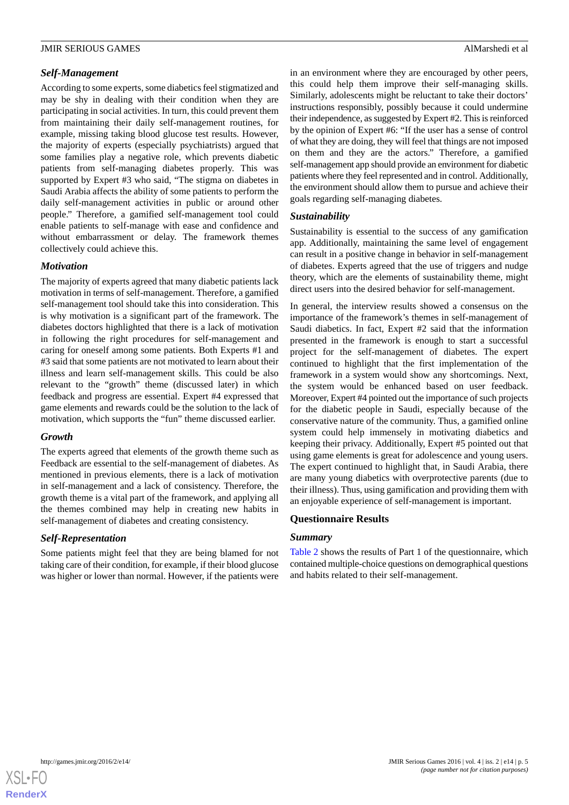#### *Self-Management*

According to some experts, some diabetics feel stigmatized and may be shy in dealing with their condition when they are participating in social activities. In turn, this could prevent them from maintaining their daily self-management routines, for example, missing taking blood glucose test results. However, the majority of experts (especially psychiatrists) argued that some families play a negative role, which prevents diabetic patients from self-managing diabetes properly. This was supported by Expert #3 who said, "The stigma on diabetes in Saudi Arabia affects the ability of some patients to perform the daily self-management activities in public or around other people." Therefore, a gamified self-management tool could enable patients to self-manage with ease and confidence and without embarrassment or delay. The framework themes collectively could achieve this.

#### *Motivation*

The majority of experts agreed that many diabetic patients lack motivation in terms of self-management. Therefore, a gamified self-management tool should take this into consideration. This is why motivation is a significant part of the framework. The diabetes doctors highlighted that there is a lack of motivation in following the right procedures for self-management and caring for oneself among some patients. Both Experts #1 and #3 said that some patients are not motivated to learn about their illness and learn self-management skills. This could be also relevant to the "growth" theme (discussed later) in which feedback and progress are essential. Expert #4 expressed that game elements and rewards could be the solution to the lack of motivation, which supports the "fun" theme discussed earlier.

#### *Growth*

The experts agreed that elements of the growth theme such as Feedback are essential to the self-management of diabetes. As mentioned in previous elements, there is a lack of motivation in self-management and a lack of consistency. Therefore, the growth theme is a vital part of the framework, and applying all the themes combined may help in creating new habits in self-management of diabetes and creating consistency.

# *Self-Representation*

Some patients might feel that they are being blamed for not taking care of their condition, for example, if their blood glucose was higher or lower than normal. However, if the patients were

in an environment where they are encouraged by other peers, this could help them improve their self-managing skills. Similarly, adolescents might be reluctant to take their doctors' instructions responsibly, possibly because it could undermine their independence, as suggested by Expert #2. This is reinforced by the opinion of Expert #6: "If the user has a sense of control of what they are doing, they will feel that things are not imposed on them and they are the actors." Therefore, a gamified self-management app should provide an environment for diabetic patients where they feel represented and in control. Additionally, the environment should allow them to pursue and achieve their goals regarding self-managing diabetes.

# *Sustainability*

Sustainability is essential to the success of any gamification app. Additionally, maintaining the same level of engagement can result in a positive change in behavior in self-management of diabetes. Experts agreed that the use of triggers and nudge theory, which are the elements of sustainability theme, might direct users into the desired behavior for self-management.

In general, the interview results showed a consensus on the importance of the framework's themes in self-management of Saudi diabetics. In fact, Expert #2 said that the information presented in the framework is enough to start a successful project for the self-management of diabetes. The expert continued to highlight that the first implementation of the framework in a system would show any shortcomings. Next, the system would be enhanced based on user feedback. Moreover, Expert #4 pointed out the importance of such projects for the diabetic people in Saudi, especially because of the conservative nature of the community. Thus, a gamified online system could help immensely in motivating diabetics and keeping their privacy. Additionally, Expert #5 pointed out that using game elements is great for adolescence and young users. The expert continued to highlight that, in Saudi Arabia, there are many young diabetics with overprotective parents (due to their illness). Thus, using gamification and providing them with an enjoyable experience of self-management is important.

# **Questionnaire Results**

#### *Summary*

[Table 2](#page-5-0) shows the results of Part 1 of the questionnaire, which contained multiple-choice questions on demographical questions and habits related to their self-management.

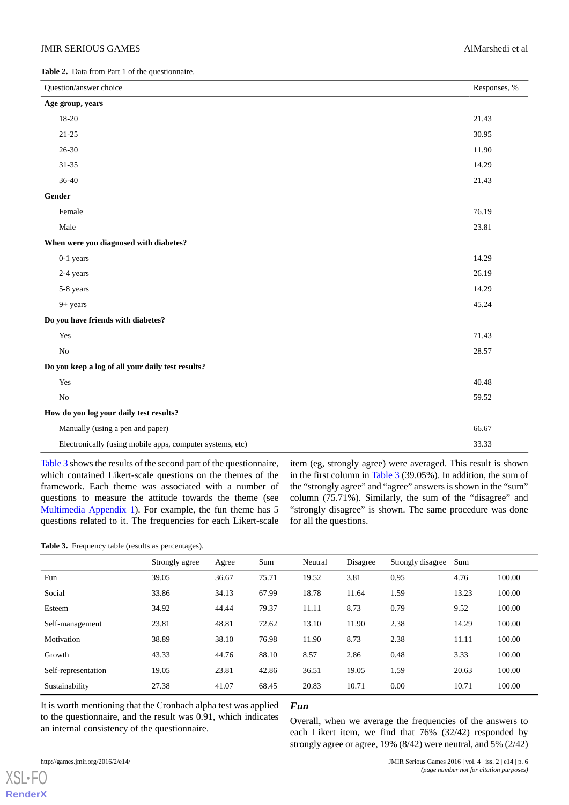#### JMIR SERIOUS GAMES Almarshedi et al. Almarshedi et al. Almarshedi et al.

<span id="page-5-0"></span>**Table 2.** Data from Part 1 of the questionnaire.

| Question/answer choice                                    |       |  |  |  |
|-----------------------------------------------------------|-------|--|--|--|
| Age group, years                                          |       |  |  |  |
| 18-20                                                     | 21.43 |  |  |  |
| $21 - 25$                                                 | 30.95 |  |  |  |
| $26 - 30$                                                 | 11.90 |  |  |  |
| $31 - 35$                                                 | 14.29 |  |  |  |
| 36-40                                                     | 21.43 |  |  |  |
| Gender                                                    |       |  |  |  |
| Female                                                    | 76.19 |  |  |  |
| Male                                                      | 23.81 |  |  |  |
| When were you diagnosed with diabetes?                    |       |  |  |  |
| 0-1 years                                                 | 14.29 |  |  |  |
| 2-4 years                                                 | 26.19 |  |  |  |
| 5-8 years                                                 | 14.29 |  |  |  |
| $9+ years$                                                | 45.24 |  |  |  |
| Do you have friends with diabetes?                        |       |  |  |  |
| Yes                                                       | 71.43 |  |  |  |
| No                                                        | 28.57 |  |  |  |
| Do you keep a log of all your daily test results?         |       |  |  |  |
| Yes                                                       | 40.48 |  |  |  |
| $\rm No$                                                  | 59.52 |  |  |  |
| How do you log your daily test results?                   |       |  |  |  |
| Manually (using a pen and paper)                          | 66.67 |  |  |  |
| Electronically (using mobile apps, computer systems, etc) | 33.33 |  |  |  |

<span id="page-5-1"></span>[Table 3](#page-5-1) shows the results of the second part of the questionnaire, which contained Likert-scale questions on the themes of the framework. Each theme was associated with a number of questions to measure the attitude towards the theme (see [Multimedia Appendix 1](#page-8-16)). For example, the fun theme has 5 questions related to it. The frequencies for each Likert-scale

item (eg, strongly agree) were averaged. This result is shown in the first column in [Table 3](#page-5-1) (39.05%). In addition, the sum of the "strongly agree" and "agree" answers is shown in the "sum" column (75.71%). Similarly, the sum of the "disagree" and "strongly disagree" is shown. The same procedure was done for all the questions.

**Table 3.** Frequency table (results as percentages).

|                     | Strongly agree | Agree | Sum   | Neutral | Disagree | Strongly disagree | Sum   |        |
|---------------------|----------------|-------|-------|---------|----------|-------------------|-------|--------|
| Fun                 | 39.05          | 36.67 | 75.71 | 19.52   | 3.81     | 0.95              | 4.76  | 100.00 |
| Social              | 33.86          | 34.13 | 67.99 | 18.78   | 11.64    | 1.59              | 13.23 | 100.00 |
| Esteem              | 34.92          | 44.44 | 79.37 | 11.11   | 8.73     | 0.79              | 9.52  | 100.00 |
| Self-management     | 23.81          | 48.81 | 72.62 | 13.10   | 11.90    | 2.38              | 14.29 | 100.00 |
| Motivation          | 38.89          | 38.10 | 76.98 | 11.90   | 8.73     | 2.38              | 11.11 | 100.00 |
| Growth              | 43.33          | 44.76 | 88.10 | 8.57    | 2.86     | 0.48              | 3.33  | 100.00 |
| Self-representation | 19.05          | 23.81 | 42.86 | 36.51   | 19.05    | 1.59              | 20.63 | 100.00 |
| Sustainability      | 27.38          | 41.07 | 68.45 | 20.83   | 10.71    | 0.00              | 10.71 | 100.00 |

It is worth mentioning that the Cronbach alpha test was applied to the questionnaire, and the result was 0.91, which indicates an internal consistency of the questionnaire.

#### *Fun*

Overall, when we average the frequencies of the answers to each Likert item, we find that 76% (32/42) responded by strongly agree or agree, 19% (8/42) were neutral, and 5% (2/42)

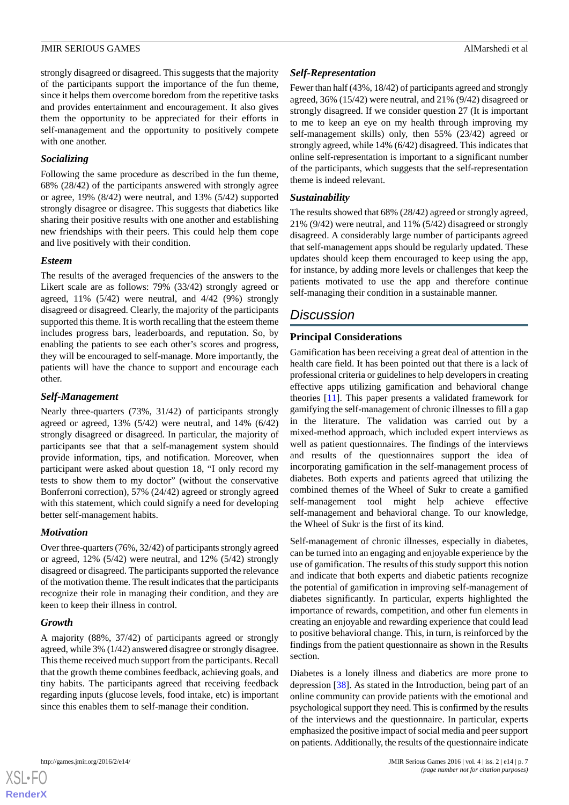strongly disagreed or disagreed. This suggests that the majority of the participants support the importance of the fun theme, since it helps them overcome boredom from the repetitive tasks and provides entertainment and encouragement. It also gives them the opportunity to be appreciated for their efforts in self-management and the opportunity to positively compete with one another.

#### *Socializing*

Following the same procedure as described in the fun theme, 68% (28/42) of the participants answered with strongly agree or agree, 19% (8/42) were neutral, and 13% (5/42) supported strongly disagree or disagree. This suggests that diabetics like sharing their positive results with one another and establishing new friendships with their peers. This could help them cope and live positively with their condition.

#### *Esteem*

The results of the averaged frequencies of the answers to the Likert scale are as follows: 79% (33/42) strongly agreed or agreed, 11% (5/42) were neutral, and 4/42 (9%) strongly disagreed or disagreed. Clearly, the majority of the participants supported this theme. It is worth recalling that the esteem theme includes progress bars, leaderboards, and reputation. So, by enabling the patients to see each other's scores and progress, they will be encouraged to self-manage. More importantly, the patients will have the chance to support and encourage each other.

#### *Self-Management*

Nearly three-quarters (73%, 31/42) of participants strongly agreed or agreed, 13% (5/42) were neutral, and 14% (6/42) strongly disagreed or disagreed. In particular, the majority of participants see that that a self-management system should provide information, tips, and notification. Moreover, when participant were asked about question 18, "I only record my tests to show them to my doctor" (without the conservative Bonferroni correction), 57% (24/42) agreed or strongly agreed with this statement, which could signify a need for developing better self-management habits.

# *Motivation*

Over three-quarters (76%, 32/42) of participants strongly agreed or agreed, 12% (5/42) were neutral, and 12% (5/42) strongly disagreed or disagreed. The participants supported the relevance of the motivation theme. The result indicates that the participants recognize their role in managing their condition, and they are keen to keep their illness in control.

#### *Growth*

A majority (88%, 37/42) of participants agreed or strongly agreed, while 3% (1/42) answered disagree or strongly disagree. This theme received much support from the participants. Recall that the growth theme combines feedback, achieving goals, and tiny habits. The participants agreed that receiving feedback regarding inputs (glucose levels, food intake, etc) is important since this enables them to self-manage their condition.

# *Self-Representation*

Fewer than half (43%, 18/42) of participants agreed and strongly agreed, 36% (15/42) were neutral, and 21% (9/42) disagreed or strongly disagreed. If we consider question 27 (It is important to me to keep an eye on my health through improving my self-management skills) only, then 55% (23/42) agreed or strongly agreed, while 14% (6/42) disagreed. This indicates that online self-representation is important to a significant number of the participants, which suggests that the self-representation theme is indeed relevant.

# *Sustainability*

The results showed that 68% (28/42) agreed or strongly agreed, 21% (9/42) were neutral, and 11% (5/42) disagreed or strongly disagreed. A considerably large number of participants agreed that self-management apps should be regularly updated. These updates should keep them encouraged to keep using the app, for instance, by adding more levels or challenges that keep the patients motivated to use the app and therefore continue self-managing their condition in a sustainable manner.

# *Discussion*

# **Principal Considerations**

Gamification has been receiving a great deal of attention in the health care field. It has been pointed out that there is a lack of professional criteria or guidelines to help developers in creating effective apps utilizing gamification and behavioral change theories [\[11](#page-8-8)]. This paper presents a validated framework for gamifying the self-management of chronic illnesses to fill a gap in the literature. The validation was carried out by a mixed-method approach, which included expert interviews as well as patient questionnaires. The findings of the interviews and results of the questionnaires support the idea of incorporating gamification in the self-management process of diabetes. Both experts and patients agreed that utilizing the combined themes of the Wheel of Sukr to create a gamified self-management tool might help achieve effective self-management and behavioral change. To our knowledge, the Wheel of Sukr is the first of its kind.

Self-management of chronic illnesses, especially in diabetes, can be turned into an engaging and enjoyable experience by the use of gamification. The results of this study support this notion and indicate that both experts and diabetic patients recognize the potential of gamification in improving self-management of diabetes significantly. In particular, experts highlighted the importance of rewards, competition, and other fun elements in creating an enjoyable and rewarding experience that could lead to positive behavioral change. This, in turn, is reinforced by the findings from the patient questionnaire as shown in the Results section.

Diabetes is a lonely illness and diabetics are more prone to depression [\[38](#page-9-19)]. As stated in the Introduction, being part of an online community can provide patients with the emotional and psychological support they need. This is confirmed by the results of the interviews and the questionnaire. In particular, experts emphasized the positive impact of social media and peer support on patients. Additionally, the results of the questionnaire indicate

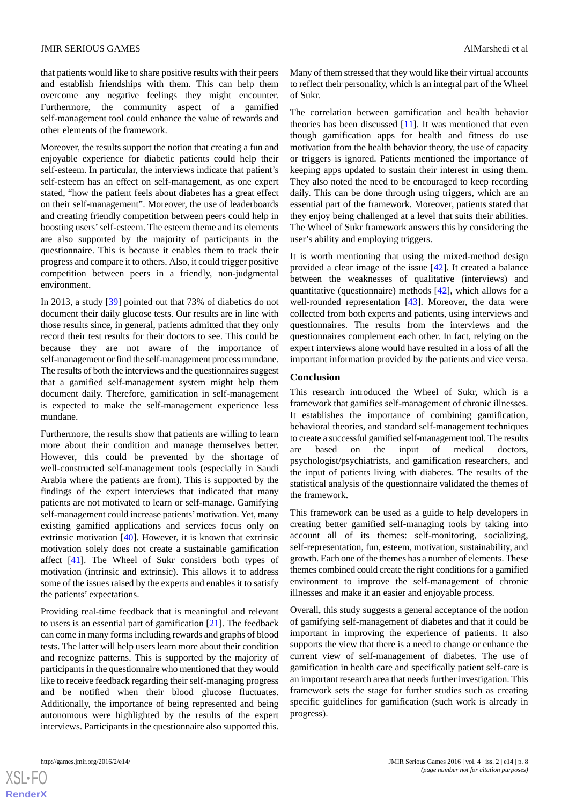that patients would like to share positive results with their peers and establish friendships with them. This can help them overcome any negative feelings they might encounter. Furthermore, the community aspect of a gamified self-management tool could enhance the value of rewards and other elements of the framework.

Moreover, the results support the notion that creating a fun and enjoyable experience for diabetic patients could help their self-esteem. In particular, the interviews indicate that patient's self-esteem has an effect on self-management, as one expert stated, "how the patient feels about diabetes has a great effect on their self-management". Moreover, the use of leaderboards and creating friendly competition between peers could help in boosting users'self-esteem. The esteem theme and its elements are also supported by the majority of participants in the questionnaire. This is because it enables them to track their progress and compare it to others. Also, it could trigger positive competition between peers in a friendly, non-judgmental environment.

In 2013, a study [[39\]](#page-9-20) pointed out that 73% of diabetics do not document their daily glucose tests. Our results are in line with those results since, in general, patients admitted that they only record their test results for their doctors to see. This could be because they are not aware of the importance of self-management or find the self-management process mundane. The results of both the interviews and the questionnaires suggest that a gamified self-management system might help them document daily. Therefore, gamification in self-management is expected to make the self-management experience less mundane.

Furthermore, the results show that patients are willing to learn more about their condition and manage themselves better. However, this could be prevented by the shortage of well-constructed self-management tools (especially in Saudi Arabia where the patients are from). This is supported by the findings of the expert interviews that indicated that many patients are not motivated to learn or self-manage. Gamifying self-management could increase patients'motivation. Yet, many existing gamified applications and services focus only on extrinsic motivation [[40\]](#page-9-21). However, it is known that extrinsic motivation solely does not create a sustainable gamification affect [\[41](#page-9-22)]. The Wheel of Sukr considers both types of motivation (intrinsic and extrinsic). This allows it to address some of the issues raised by the experts and enables it to satisfy the patients' expectations.

Providing real-time feedback that is meaningful and relevant to users is an essential part of gamification [\[21](#page-9-2)]. The feedback can come in many forms including rewards and graphs of blood tests. The latter will help users learn more about their condition and recognize patterns. This is supported by the majority of participants in the questionnaire who mentioned that they would like to receive feedback regarding their self-managing progress and be notified when their blood glucose fluctuates. Additionally, the importance of being represented and being autonomous were highlighted by the results of the expert interviews. Participants in the questionnaire also supported this.

Many of them stressed that they would like their virtual accounts to reflect their personality, which is an integral part of the Wheel of Sukr.

The correlation between gamification and health behavior theories has been discussed  $[11]$  $[11]$ . It was mentioned that even though gamification apps for health and fitness do use motivation from the health behavior theory, the use of capacity or triggers is ignored. Patients mentioned the importance of keeping apps updated to sustain their interest in using them. They also noted the need to be encouraged to keep recording daily. This can be done through using triggers, which are an essential part of the framework. Moreover, patients stated that they enjoy being challenged at a level that suits their abilities. The Wheel of Sukr framework answers this by considering the user's ability and employing triggers.

It is worth mentioning that using the mixed-method design provided a clear image of the issue [[42\]](#page-9-23). It created a balance between the weaknesses of qualitative (interviews) and quantitative (questionnaire) methods [[42\]](#page-9-23), which allows for a well-rounded representation [\[43](#page-9-24)]. Moreover, the data were collected from both experts and patients, using interviews and questionnaires. The results from the interviews and the questionnaires complement each other. In fact, relying on the expert interviews alone would have resulted in a loss of all the important information provided by the patients and vice versa.

#### **Conclusion**

This research introduced the Wheel of Sukr, which is a framework that gamifies self-management of chronic illnesses. It establishes the importance of combining gamification, behavioral theories, and standard self-management techniques to create a successful gamified self-management tool. The results are based on the input of medical doctors, psychologist/psychiatrists, and gamification researchers, and the input of patients living with diabetes. The results of the statistical analysis of the questionnaire validated the themes of the framework.

This framework can be used as a guide to help developers in creating better gamified self-managing tools by taking into account all of its themes: self-monitoring, socializing, self-representation, fun, esteem, motivation, sustainability, and growth. Each one of the themes has a number of elements. These themes combined could create the right conditions for a gamified environment to improve the self-management of chronic illnesses and make it an easier and enjoyable process.

Overall, this study suggests a general acceptance of the notion of gamifying self-management of diabetes and that it could be important in improving the experience of patients. It also supports the view that there is a need to change or enhance the current view of self-management of diabetes. The use of gamification in health care and specifically patient self-care is an important research area that needs further investigation. This framework sets the stage for further studies such as creating specific guidelines for gamification (such work is already in progress).

```
XS\cdotFC
RenderX
```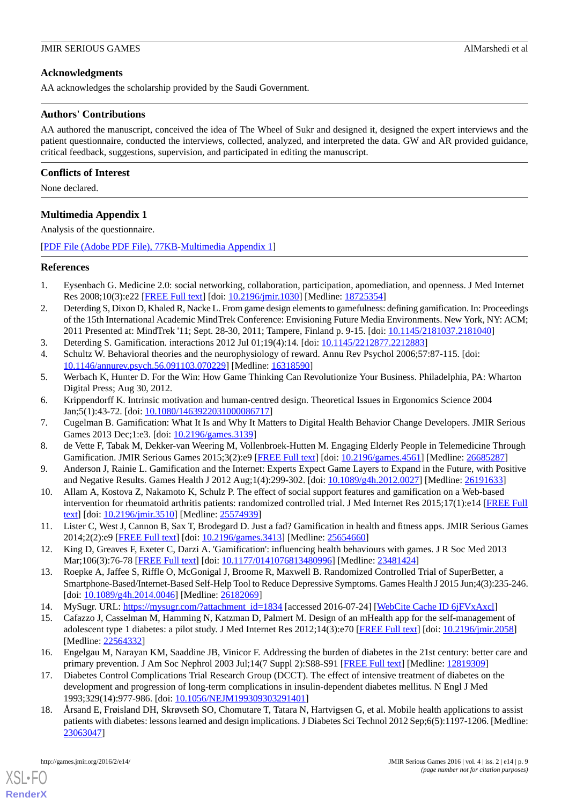# **Acknowledgments**

AA acknowledges the scholarship provided by the Saudi Government.

#### **Authors' Contributions**

AA authored the manuscript, conceived the idea of The Wheel of Sukr and designed it, designed the expert interviews and the patient questionnaire, conducted the interviews, collected, analyzed, and interpreted the data. GW and AR provided guidance, critical feedback, suggestions, supervision, and participated in editing the manuscript.

#### **Conflicts of Interest**

<span id="page-8-16"></span>None declared.

# **Multimedia Appendix 1**

Analysis of the questionnaire.

<span id="page-8-0"></span>[[PDF File \(Adobe PDF File\), 77KB-Multimedia Appendix 1](https://jmir.org/api/download?alt_name=games_v4i2e14_app1.pdf&filename=2fde3f713bf80ceb835dc436dd0f30e1.pdf)]

#### **References**

- <span id="page-8-1"></span>1. Eysenbach G. Medicine 2.0: social networking, collaboration, participation, apomediation, and openness. J Med Internet Res 2008;10(3):e22 [[FREE Full text\]](http://www.jmir.org/2008/3/e22/) [doi: [10.2196/jmir.1030](http://dx.doi.org/10.2196/jmir.1030)] [Medline: [18725354\]](http://www.ncbi.nlm.nih.gov/entrez/query.fcgi?cmd=Retrieve&db=PubMed&list_uids=18725354&dopt=Abstract)
- <span id="page-8-3"></span><span id="page-8-2"></span>2. Deterding S, Dixon D, Khaled R, Nacke L. From game design elements to gamefulness: defining gamification. In: Proceedings of the 15th International Academic MindTrek Conference: Envisioning Future Media Environments. New York, NY: ACM; 2011 Presented at: MindTrek '11; Sept. 28-30, 2011; Tampere, Finland p. 9-15. [doi: [10.1145/2181037.2181040](http://dx.doi.org/10.1145/2181037.2181040)]
- <span id="page-8-4"></span>3. Deterding S. Gamification. interactions 2012 Jul 01;19(4):14. [doi: [10.1145/2212877.2212883](http://dx.doi.org/10.1145/2212877.2212883)]
- <span id="page-8-5"></span>4. Schultz W. Behavioral theories and the neurophysiology of reward. Annu Rev Psychol 2006;57:87-115. [doi: [10.1146/annurev.psych.56.091103.070229](http://dx.doi.org/10.1146/annurev.psych.56.091103.070229)] [Medline: [16318590](http://www.ncbi.nlm.nih.gov/entrez/query.fcgi?cmd=Retrieve&db=PubMed&list_uids=16318590&dopt=Abstract)]
- <span id="page-8-6"></span>5. Werbach K, Hunter D. For the Win: How Game Thinking Can Revolutionize Your Business. Philadelphia, PA: Wharton Digital Press; Aug 30, 2012.
- 6. Krippendorff K. Intrinsic motivation and human-centred design. Theoretical Issues in Ergonomics Science 2004 Jan;5(1):43-72. [doi: [10.1080/1463922031000086717](http://dx.doi.org/10.1080/1463922031000086717)]
- 7. Cugelman B. Gamification: What It Is and Why It Matters to Digital Health Behavior Change Developers. JMIR Serious Games 2013 Dec;1:e3. [doi: [10.2196/games.3139](http://dx.doi.org/10.2196/games.3139)]
- <span id="page-8-7"></span>8. de Vette F, Tabak M, Dekker-van Weering M, Vollenbroek-Hutten M. Engaging Elderly People in Telemedicine Through Gamification. JMIR Serious Games 2015;3(2):e9 [[FREE Full text](http://games.jmir.org/2015/2/e9/)] [doi: [10.2196/games.4561](http://dx.doi.org/10.2196/games.4561)] [Medline: [26685287](http://www.ncbi.nlm.nih.gov/entrez/query.fcgi?cmd=Retrieve&db=PubMed&list_uids=26685287&dopt=Abstract)]
- <span id="page-8-8"></span>9. Anderson J, Rainie L. Gamification and the Internet: Experts Expect Game Layers to Expand in the Future, with Positive and Negative Results. Games Health J 2012 Aug;1(4):299-302. [doi: [10.1089/g4h.2012.0027\]](http://dx.doi.org/10.1089/g4h.2012.0027) [Medline: [26191633](http://www.ncbi.nlm.nih.gov/entrez/query.fcgi?cmd=Retrieve&db=PubMed&list_uids=26191633&dopt=Abstract)]
- <span id="page-8-9"></span>10. Allam A, Kostova Z, Nakamoto K, Schulz P. The effect of social support features and gamification on a Web-based intervention for rheumatoid arthritis patients: randomized controlled trial. J Med Internet Res 2015;17(1):e14 [\[FREE Full](http://www.jmir.org/2015/1/e14/) [text](http://www.jmir.org/2015/1/e14/)] [doi: [10.2196/jmir.3510](http://dx.doi.org/10.2196/jmir.3510)] [Medline: [25574939](http://www.ncbi.nlm.nih.gov/entrez/query.fcgi?cmd=Retrieve&db=PubMed&list_uids=25574939&dopt=Abstract)]
- <span id="page-8-10"></span>11. Lister C, West J, Cannon B, Sax T, Brodegard D. Just a fad? Gamification in health and fitness apps. JMIR Serious Games 2014;2(2):e9 [\[FREE Full text](http://games.jmir.org/2014/2/e9/)] [doi: [10.2196/games.3413\]](http://dx.doi.org/10.2196/games.3413) [Medline: [25654660\]](http://www.ncbi.nlm.nih.gov/entrez/query.fcgi?cmd=Retrieve&db=PubMed&list_uids=25654660&dopt=Abstract)
- <span id="page-8-12"></span><span id="page-8-11"></span>12. King D, Greaves F, Exeter C, Darzi A. 'Gamification': influencing health behaviours with games. J R Soc Med 2013 Mar;106(3):76-78 [[FREE Full text\]](http://europepmc.org/abstract/MED/23481424) [doi: [10.1177/0141076813480996\]](http://dx.doi.org/10.1177/0141076813480996) [Medline: [23481424](http://www.ncbi.nlm.nih.gov/entrez/query.fcgi?cmd=Retrieve&db=PubMed&list_uids=23481424&dopt=Abstract)]
- <span id="page-8-13"></span>13. Roepke A, Jaffee S, Riffle O, McGonigal J, Broome R, Maxwell B. Randomized Controlled Trial of SuperBetter, a Smartphone-Based/Internet-Based Self-Help Tool to Reduce Depressive Symptoms. Games Health J 2015 Jun;4(3):235-246. [doi: [10.1089/g4h.2014.0046](http://dx.doi.org/10.1089/g4h.2014.0046)] [Medline: [26182069\]](http://www.ncbi.nlm.nih.gov/entrez/query.fcgi?cmd=Retrieve&db=PubMed&list_uids=26182069&dopt=Abstract)
- <span id="page-8-14"></span>14. MySugr. URL: [https://mysugr.com/?attachment\\_id=1834](https://mysugr.com/?attachment_id=1834) [accessed 2016-07-24] [[WebCite Cache ID 6jFVxAxcl](http://www.webcitation.org/

                                            6jFVxAxcl)]
- 15. Cafazzo J, Casselman M, Hamming N, Katzman D, Palmert M. Design of an mHealth app for the self-management of adolescent type 1 diabetes: a pilot study. J Med Internet Res 2012;14(3):e70 [\[FREE Full text](http://www.jmir.org/2012/3/e70/)] [doi: [10.2196/jmir.2058\]](http://dx.doi.org/10.2196/jmir.2058) [Medline: [22564332](http://www.ncbi.nlm.nih.gov/entrez/query.fcgi?cmd=Retrieve&db=PubMed&list_uids=22564332&dopt=Abstract)]
- <span id="page-8-15"></span>16. Engelgau M, Narayan KM, Saaddine JB, Vinicor F. Addressing the burden of diabetes in the 21st century: better care and primary prevention. J Am Soc Nephrol 2003 Jul;14(7 Suppl 2):S88-S91 [[FREE Full text](http://jasn.asnjournals.org/cgi/pmidlookup?view=long&pmid=12819309)] [Medline: [12819309\]](http://www.ncbi.nlm.nih.gov/entrez/query.fcgi?cmd=Retrieve&db=PubMed&list_uids=12819309&dopt=Abstract)
- 17. Diabetes Control Complications Trial Research Group (DCCT). The effect of intensive treatment of diabetes on the development and progression of long-term complications in insulin-dependent diabetes mellitus. N Engl J Med 1993;329(14):977-986. [doi: [10.1056/NEJM199309303291401\]](http://dx.doi.org/10.1056/NEJM199309303291401)
- 18. Årsand E, Frøisland DH, Skrøvseth SO, Chomutare T, Tatara N, Hartvigsen G, et al. Mobile health applications to assist patients with diabetes: lessons learned and design implications. J Diabetes Sci Technol 2012 Sep;6(5):1197-1206. [Medline: [23063047](http://www.ncbi.nlm.nih.gov/entrez/query.fcgi?cmd=Retrieve&db=PubMed&list_uids=23063047&dopt=Abstract)]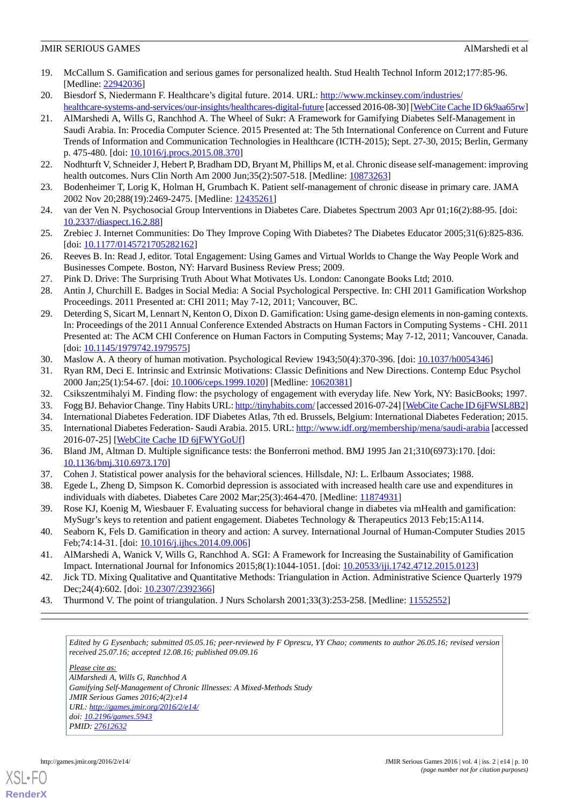#### JMIR SERIOUS GAMES Almarshedi et al. Almarshedi et al. Almarshedi et al.

- <span id="page-9-0"></span>19. McCallum S. Gamification and serious games for personalized health. Stud Health Technol Inform 2012;177:85-96. [Medline: [22942036](http://www.ncbi.nlm.nih.gov/entrez/query.fcgi?cmd=Retrieve&db=PubMed&list_uids=22942036&dopt=Abstract)]
- <span id="page-9-2"></span><span id="page-9-1"></span>20. Biesdorf S, Niedermann F. Healthcare's digital future. 2014. URL: [http://www.mckinsey.com/industries/](http://www.mckinsey.com/industries/healthcare-systems-and-services/our-insights/healthcares-digital-future) [healthcare-systems-and-services/our-insights/healthcares-digital-future](http://www.mckinsey.com/industries/healthcare-systems-and-services/our-insights/healthcares-digital-future) [accessed 2016-08-30] [\[WebCite Cache ID 6k9aa65rw\]](http://www.webcitation.org/

                                            6k9aa65rw)
- 21. AlMarshedi A, Wills G, Ranchhod A. The Wheel of Sukr: A Framework for Gamifying Diabetes Self-Management in Saudi Arabia. In: Procedia Computer Science. 2015 Presented at: The 5th International Conference on Current and Future Trends of Information and Communication Technologies in Healthcare (ICTH-2015); Sept. 27-30, 2015; Berlin, Germany p. 475-480. [doi: [10.1016/j.procs.2015.08.370\]](http://dx.doi.org/10.1016/j.procs.2015.08.370)
- <span id="page-9-4"></span><span id="page-9-3"></span>22. Nodhturft V, Schneider J, Hebert P, Bradham DD, Bryant M, Phillips M, et al. Chronic disease self-management: improving health outcomes. Nurs Clin North Am 2000 Jun;35(2):507-518. [Medline: [10873263\]](http://www.ncbi.nlm.nih.gov/entrez/query.fcgi?cmd=Retrieve&db=PubMed&list_uids=10873263&dopt=Abstract)
- <span id="page-9-5"></span>23. Bodenheimer T, Lorig K, Holman H, Grumbach K. Patient self-management of chronic disease in primary care. JAMA 2002 Nov 20;288(19):2469-2475. [Medline: [12435261](http://www.ncbi.nlm.nih.gov/entrez/query.fcgi?cmd=Retrieve&db=PubMed&list_uids=12435261&dopt=Abstract)]
- <span id="page-9-6"></span>24. van der Ven N. Psychosocial Group Interventions in Diabetes Care. Diabetes Spectrum 2003 Apr 01;16(2):88-95. [doi: [10.2337/diaspect.16.2.88](http://dx.doi.org/10.2337/diaspect.16.2.88)]
- <span id="page-9-7"></span>25. Zrebiec J. Internet Communities: Do They Improve Coping With Diabetes? The Diabetes Educator 2005;31(6):825-836. [doi: [10.1177/0145721705282162](http://dx.doi.org/10.1177/0145721705282162)]
- <span id="page-9-9"></span><span id="page-9-8"></span>26. Reeves B. In: Read J, editor. Total Engagement: Using Games and Virtual Worlds to Change the Way People Work and Businesses Compete. Boston, NY: Harvard Business Review Press; 2009.
- <span id="page-9-10"></span>27. Pink D. Drive: The Surprising Truth About What Motivates Us. London: Canongate Books Ltd; 2010.
- 28. Antin J, Churchill E. Badges in Social Media: A Social Psychological Perspective. In: CHI 2011 Gamification Workshop Proceedings. 2011 Presented at: CHI 2011; May 7-12, 2011; Vancouver, BC.
- <span id="page-9-12"></span><span id="page-9-11"></span>29. Deterding S, Sicart M, Lennart N, Kenton O, Dixon D. Gamification: Using game-design elements in non-gaming contexts. In: Proceedings of the 2011 Annual Conference Extended Abstracts on Human Factors in Computing Systems - CHI. 2011 Presented at: The ACM CHI Conference on Human Factors in Computing Systems; May 7-12, 2011; Vancouver, Canada. [doi: [10.1145/1979742.1979575\]](http://dx.doi.org/10.1145/1979742.1979575)
- <span id="page-9-13"></span>30. Maslow A. A theory of human motivation. Psychological Review 1943;50(4):370-396. [doi: [10.1037/h0054346\]](http://dx.doi.org/10.1037/h0054346)
- <span id="page-9-15"></span><span id="page-9-14"></span>31. Ryan RM, Deci E. Intrinsic and Extrinsic Motivations: Classic Definitions and New Directions. Contemp Educ Psychol 2000 Jan;25(1):54-67. [doi: [10.1006/ceps.1999.1020](http://dx.doi.org/10.1006/ceps.1999.1020)] [Medline: [10620381](http://www.ncbi.nlm.nih.gov/entrez/query.fcgi?cmd=Retrieve&db=PubMed&list_uids=10620381&dopt=Abstract)]
- <span id="page-9-16"></span>32. Csikszentmihalyi M. Finding flow: the psychology of engagement with everyday life. New York, NY: BasicBooks; 1997.
- <span id="page-9-17"></span>33. Fogg BJ. Behavior Change. Tiny Habits URL:<http://tinyhabits.com/> [accessed 2016-07-24] [[WebCite Cache ID 6jFWSL8B2](http://www.webcitation.org/

                                            6jFWSL8B2)]
- 34. International Diabetes Federation. IDF Diabetes Atlas, 7th ed. Brussels, Belgium: International Diabetes Federation; 2015.
- <span id="page-9-19"></span><span id="page-9-18"></span>35. International Diabetes Federation- Saudi Arabia. 2015. URL:<http://www.idf.org/membership/mena/saudi-arabia> [accessed 2016-07-25] [\[WebCite Cache ID 6jFWYGoUf\]](http://www.webcitation.org/

                                            6jFWYGoUf)
- <span id="page-9-20"></span>36. Bland JM, Altman D. Multiple significance tests: the Bonferroni method. BMJ 1995 Jan 21;310(6973):170. [doi: [10.1136/bmj.310.6973.170\]](http://dx.doi.org/10.1136/bmj.310.6973.170)
- <span id="page-9-21"></span>37. Cohen J. Statistical power analysis for the behavioral sciences. Hillsdale, NJ: L. Erlbaum Associates; 1988.
- 38. Egede L, Zheng D, Simpson K. Comorbid depression is associated with increased health care use and expenditures in individuals with diabetes. Diabetes Care 2002 Mar; 25(3): 464-470. [Medline: [11874931\]](http://www.ncbi.nlm.nih.gov/entrez/query.fcgi?cmd=Retrieve&db=PubMed&list_uids=11874931&dopt=Abstract)
- <span id="page-9-22"></span>39. Rose KJ, Koenig M, Wiesbauer F. Evaluating success for behavioral change in diabetes via mHealth and gamification: MySugr's keys to retention and patient engagement. Diabetes Technology & Therapeutics 2013 Feb;15:A114.
- <span id="page-9-24"></span><span id="page-9-23"></span>40. Seaborn K, Fels D. Gamification in theory and action: A survey. International Journal of Human-Computer Studies 2015 Feb;74:14-31. [doi: [10.1016/j.ijhcs.2014.09.006\]](http://dx.doi.org/10.1016/j.ijhcs.2014.09.006)
- 41. AlMarshedi A, Wanick V, Wills G, Ranchhod A. SGI: A Framework for Increasing the Sustainability of Gamification Impact. International Journal for Infonomics 2015;8(1):1044-1051. [doi: [10.20533/iji.1742.4712.2015.0123\]](http://dx.doi.org/10.20533/iji.1742.4712.2015.0123)
- 42. Jick TD. Mixing Qualitative and Quantitative Methods: Triangulation in Action. Administrative Science Quarterly 1979 Dec; 24(4): 602. [doi: [10.2307/2392366\]](http://dx.doi.org/10.2307/2392366)
- 43. Thurmond V. The point of triangulation. J Nurs Scholarsh 2001;33(3):253-258. [Medline: [11552552\]](http://www.ncbi.nlm.nih.gov/entrez/query.fcgi?cmd=Retrieve&db=PubMed&list_uids=11552552&dopt=Abstract)

*Edited by G Eysenbach; submitted 05.05.16; peer-reviewed by F Oprescu, YY Chao; comments to author 26.05.16; revised version received 25.07.16; accepted 12.08.16; published 09.09.16*

*Please cite as:*

*AlMarshedi A, Wills G, Ranchhod A Gamifying Self-Management of Chronic Illnesses: A Mixed-Methods Study JMIR Serious Games 2016;4(2):e14 URL: <http://games.jmir.org/2016/2/e14/> doi: [10.2196/games.5943](http://dx.doi.org/10.2196/games.5943) PMID: [27612632](http://www.ncbi.nlm.nih.gov/entrez/query.fcgi?cmd=Retrieve&db=PubMed&list_uids=27612632&dopt=Abstract)*